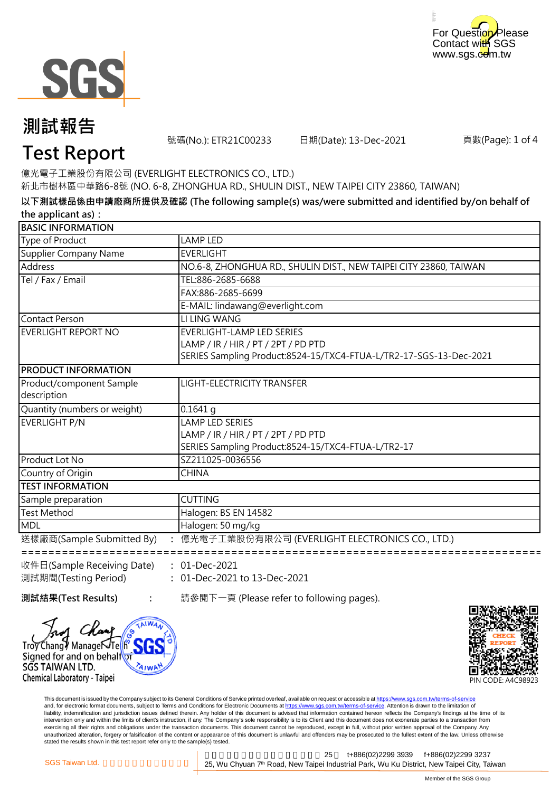



## **測試報告**

號碼(No.): ETR21C00233 日期(Date): 13-Dec-2021

頁數(Page): 1 of 4

## **Test Report**

億光電子工業股份有限公司 (EVERLIGHT ELECTRONICS CO., LTD.)

新北市樹林區中華路6-8號 (NO. 6-8, ZHONGHUA RD., SHULIN DIST., NEW TAIPEI CITY 23860, TAIWAN)

**以下測試樣品係由申請廠商所提供及確認 (The following sample(s) was/were submitted and identified by/on behalf of the applicant as):**

| <b>BASIC INFORMATION</b>     |                                                                    |
|------------------------------|--------------------------------------------------------------------|
| Type of Product              | LAMP LED                                                           |
| Supplier Company Name        | <b>EVERLIGHT</b>                                                   |
| Address                      | NO.6-8, ZHONGHUA RD., SHULIN DIST., NEW TAIPEI CITY 23860, TAIWAN  |
| Tel / Fax / Email            | TEL:886-2685-6688                                                  |
|                              | FAX:886-2685-6699                                                  |
|                              | E-MAIL: lindawang@everlight.com                                    |
| <b>Contact Person</b>        | LI LING WANG                                                       |
| EVERLIGHT REPORT NO          | EVERLIGHT-LAMP LED SERIES                                          |
|                              | LAMP / IR / HIR / PT / 2PT / PD PTD                                |
|                              | SERIES Sampling Product:8524-15/TXC4-FTUA-L/TR2-17-SGS-13-Dec-2021 |
| <b>PRODUCT INFORMATION</b>   |                                                                    |
| Product/component Sample     | LIGHT-ELECTRICITY TRANSFER                                         |
| description                  |                                                                    |
| Quantity (numbers or weight) | $0.1641$ q                                                         |
| EVERLIGHT P/N                | LAMP LED SERIES                                                    |
|                              | LAMP / IR / HIR / PT / 2PT / PD PTD                                |
|                              | SERIES Sampling Product:8524-15/TXC4-FTUA-L/TR2-17                 |
| Product Lot No               | SZ211025-0036556                                                   |
| Country of Origin            | <b>CHINA</b>                                                       |
| <b>TEST INFORMATION</b>      |                                                                    |
| Sample preparation           | <b>CUTTING</b>                                                     |
| Test Method                  | Halogen: BS EN 14582                                               |
| MDL                          | Halogen: 50 mg/kg                                                  |
| 送樣廠商(Sample Submitted By)    | 億光電子工業股份有限公司 (EVERLIGHT ELECTRONICS CO., LTD.)                     |
|                              |                                                                    |

**:** 01-Dec-2021 收件日(Sample Receiving Date) 測試期間(Testing Period)

**:**

**:** 01-Dec-2021 to 13-Dec-2021

Trov Changy Manage Trellh Signed for and on behalfor

SGS TAIWAN LTD. Chemical Laboratory - Taipei

**測試結果(Test Results)** 請參閱下一頁 (Please refer to following pages).



This document is issued by the Company subject to its General Conditions of Service printed overleaf, available on request or accessible at https://www.sgs.com.tw/terms-of-service and, for electronic format documents, subject to Terms and Conditions for Electronic Documents at https://www.sgs.com.tw/terms-of-service. Attention is drawn to the limitation of liability, indemnification and jurisdiction issues defined therein. Any holder of this document is advised that information contained hereon reflects the Company's findings at the time of its intervention only and within the limits of client's instruction, if any. The Company's sole responsibility is to its Client and this document does not exonerate parties to a transaction from exercising all their rights and obligations under the transaction documents. This document cannot be reproduced, except in full, without prior written approval of the Company. Any<br>unauthorized alteration, forgery or falsif stated the results shown in this test report refer only to the sample(s) tested.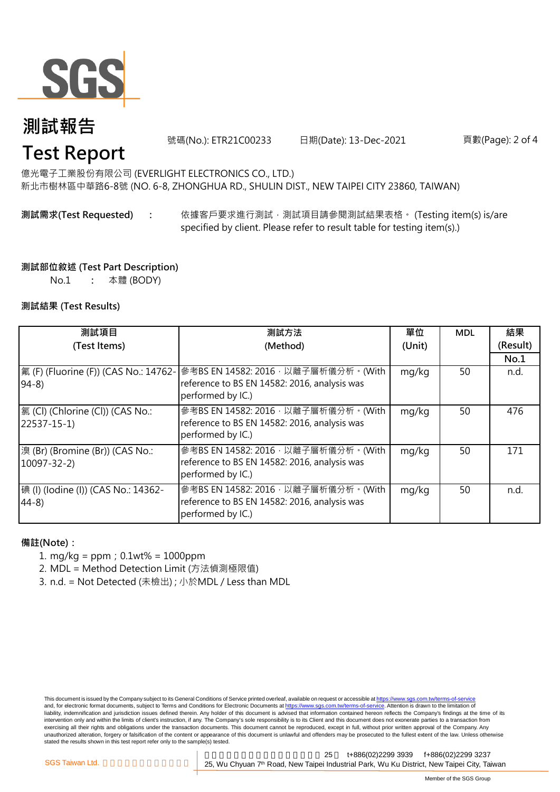

## **測試報告 Test Report**

號碼(No.): ETR21C00233 日期(Date): 13-Dec-2021

頁數(Page): 2 of 4

新北市樹林區中華路6-8號 (NO. 6-8, ZHONGHUA RD., SHULIN DIST., NEW TAIPEI CITY 23860, TAIWAN) 億光電子工業股份有限公司 (EVERLIGHT ELECTRONICS CO., LTD.)

#### **: 測試需求(Test Requested)**

依據客戶要求進行測試, 測試項目請參閱測試結果表格。 (Testing item(s) is/are specified by client. Please refer to result table for testing item(s).)

#### **測試部位敘述 (Test Part Description)**

No.1 **:** 本體 (BODY)

#### **測試結果 (Test Results)**

| 測試項目                                                    | 測試方法                                                                                                        | 單位     | <b>MDL</b> | 結果       |
|---------------------------------------------------------|-------------------------------------------------------------------------------------------------------------|--------|------------|----------|
| (Test Items)                                            | (Method)                                                                                                    | (Unit) |            | (Result) |
|                                                         |                                                                                                             |        |            | No.1     |
| 氟 (F) (Fluorine (F)) (CAS No.: 14762-<br>$ 94-8\rangle$ | 參考BS EN 14582: 2016 · 以離子層析儀分析 · (With<br>reference to BS EN 14582: 2016, analysis was<br>performed by IC.) | mg/kg  | 50         | n.d.     |
| 氯 (Cl) (Chlorine (Cl)) (CAS No.:<br>$[22537 - 15 - 1]$  | 参考BS EN 14582: 2016 · 以離子層析儀分析 · (With<br>reference to BS EN 14582: 2016, analysis was<br>performed by IC.) | mg/kg  | 50         | 476      |
| 溴 (Br) (Bromine (Br)) (CAS No.:<br>$10097 - 32 - 2$     | 參考BS EN 14582: 2016, 以離子層析儀分析。(With<br>reference to BS EN 14582: 2016, analysis was<br>performed by IC.)    | mg/kg  | 50         | 171      |
| 碘 (I) (lodine (I)) (CAS No.: 14362-<br>$ 44-8\rangle$   | 參考BS EN 14582: 2016, 以離子層析儀分析。(With<br>reference to BS EN 14582: 2016, analysis was<br>performed by IC.)    | mg/kg  | 50         | n.d.     |

#### **備註(Note):**

- 1. mg/kg = ppm;0.1wt% = 1000ppm
- 2. MDL = Method Detection Limit (方法偵測極限值)
- 3. n.d. = Not Detected (未檢出) ; 小於MDL / Less than MDL

This document is issued by the Company subject to its General Conditions of Service printed overleaf, available on request or accessible at https://www.sgs.com.tw/terms-of-service and, for electronic format documents, subject to Terms and Conditions for Electronic Documents at https://www.sgs.com.tw/terms-of-service. Attention is drawn to the limitation of liability, indemnification and jurisdiction issues defined therein. Any holder of this document is advised that information contained hereon reflects the Company's findings at the time of its intervention only and within the limits of client's instruction, if any. The Company's sole responsibility is to its Client and this document does not exonerate parties to a transaction from exercising all their rights and obligations under the transaction documents. This document cannot be reproduced, except in full, without prior written approval of the Company. Any<br>unauthorized alteration, forgery or falsif stated the results shown in this test report refer only to the sample(s) tested.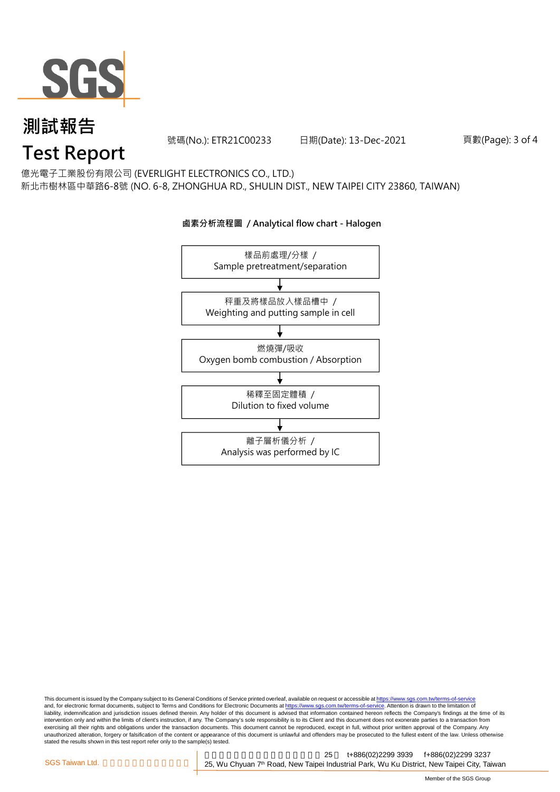

## **測試報告 Test Report**

號碼(No.): ETR21C00233 日期(Date): 13-Dec-2021

頁數(Page): 3 of 4

### 億光電子工業股份有限公司 (EVERLIGHT ELECTRONICS CO., LTD.)

新北市樹林區中華路6-8號 (NO. 6-8, ZHONGHUA RD., SHULIN DIST., NEW TAIPEI CITY 23860, TAIWAN)

#### **鹵素分析流程圖 / Analytical flow chart - Halogen**



This document is issued by the Company subject to its General Conditions of Service printed overleaf, available on request or accessible at <u>https://www.sgs.com.tw/terms-of-service</u><br>and, for electronic format documents, su liability, indemnification and jurisdiction issues defined therein. Any holder of this document is advised that information contained hereon reflects the Company's findings at the time of its intervention only and within the limits of client's instruction, if any. The Company's sole responsibility is to its Client and this document does not exonerate parties to a transaction from exercising all their rights and obligations under the transaction documents. This document cannot be reproduced, except in full, without prior written approval of the Company. Any<br>unauthorized alteration, forgery or falsif